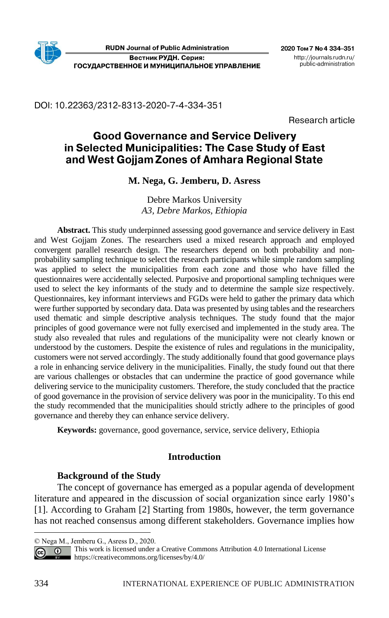DOI: 10.22363/2312-8313-2020-7-4-334-351

Research article

# **Good Governance and Service Delivery** in Selected Municipalities: The Case Study of East and West Gojjam Zones of Amhara Regional State

## **M. Nega, G. Jemberu, D. Asress**

Debre Markos University *A3, Debre Markos, Ethiopia*

**Abstract.** This study underpinned assessing good governance and service delivery in East and West Gojjam Zones. The researchers used a mixed research approach and employed convergent parallel research design. The researchers depend on both probability and nonprobability sampling technique to select the research participants while simple random sampling was applied to select the municipalities from each zone and those who have filled the questionnaires were accidentally selected. Purposive and proportional sampling techniques were used to select the key informants of the study and to determine the sample size respectively. Questionnaires, key informant interviews and FGDs were held to gather the primary data which were further supported by secondary data. Data was presented by using tables and the researchers used thematic and simple descriptive analysis techniques. The study found that the major principles of good governance were not fully exercised and implemented in the study area. The study also revealed that rules and regulations of the municipality were not clearly known or understood by the customers. Despite the existence of rules and regulations in the municipality, customers were not served accordingly. The study additionally found that good governance plays a role in enhancing service delivery in the municipalities. Finally, the study found out that there are various challenges or obstacles that can undermine the practice of good governance while delivering service to the municipality customers. Therefore, the study concluded that the practice of good governance in the provision of service delivery was poor in the municipality. To this end the study recommended that the municipalities should strictly adhere to the principles of good governance and thereby they can enhance service delivery.

**Keywords:** governance, good governance, service, service delivery, Ethiopia

## **Introduction**

## **Background of the Study**

The concept of governance has emerged as a popular agenda of development literature and appeared in the discussion of social organization since early 1980's [1]. According to Graham [2] Starting from 1980s, however, the term governance has not reached consensus among different stakeholders. Governance implies how

<sup>©</sup> Nega M., Jemberu G., Asress D., 2020.

**This work is licensed under a Creative Commons Attribution 4.0 International License**  $\odot$ <https://creativecommons.org/licenses/by/4.0/>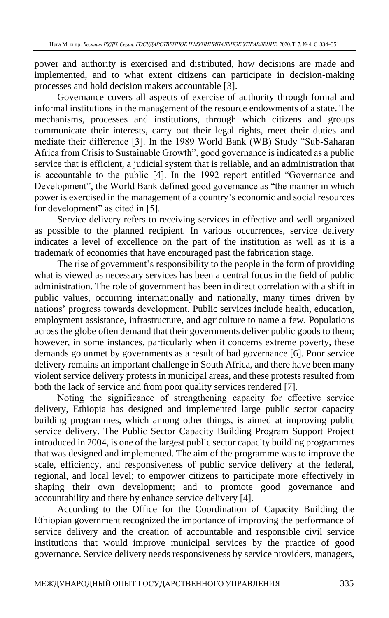power and authority is exercised and distributed, how decisions are made and implemented, and to what extent citizens can participate in decision-making processes and hold decision makers accountable [3].

Governance covers all aspects of exercise of authority through formal and informal institutions in the management of the resource endowments of a state. The mechanisms, processes and institutions, through which citizens and groups communicate their interests, carry out their legal rights, meet their duties and mediate their difference [3]. In the 1989 World Bank (WB) Study "Sub-Saharan Africa from Crisis to Sustainable Growth", good governance is indicated as a public service that is efficient, a judicial system that is reliable, and an administration that is accountable to the public [4]. In the 1992 report entitled "Governance and Development", the World Bank defined good governance as "the manner in which power is exercised in the management of a country's economic and social resources for development" as cited in [5].

Service delivery refers to receiving services in effective and well organized as possible to the planned recipient. In various occurrences, service delivery indicates a level of excellence on the part of the institution as well as it is a trademark of economies that have encouraged past the fabrication stage.

The rise of government's responsibility to the people in the form of providing what is viewed as necessary services has been a central focus in the field of public administration. The role of government has been in direct correlation with a shift in public values, occurring internationally and nationally, many times driven by nations' progress towards development. Public services include health, education, employment assistance, infrastructure, and agriculture to name a few. Populations across the globe often demand that their governments deliver public goods to them; however, in some instances, particularly when it concerns extreme poverty, these demands go unmet by governments as a result of bad governance [6]. Poor service delivery remains an important challenge in South Africa, and there have been many violent service delivery protests in municipal areas, and these protests resulted from both the lack of service and from poor quality services rendered [7].

Noting the significance of strengthening capacity for effective service delivery, Ethiopia has designed and implemented large public sector capacity building programmes, which among other things, is aimed at improving public service delivery. The Public Sector Capacity Building Program Support Project introduced in 2004, is one of the largest public sector capacity building programmes that was designed and implemented. The aim of the programme was to improve the scale, efficiency, and responsiveness of public service delivery at the federal, regional, and local level; to empower citizens to participate more effectively in shaping their own development; and to promote good governance and accountability and there by enhance service delivery [4].

According to the Office for the Coordination of Capacity Building the Ethiopian government recognized the importance of improving the performance of service delivery and the creation of accountable and responsible civil service institutions that would improve municipal services by the practice of good governance. Service delivery needs responsiveness by service providers, managers,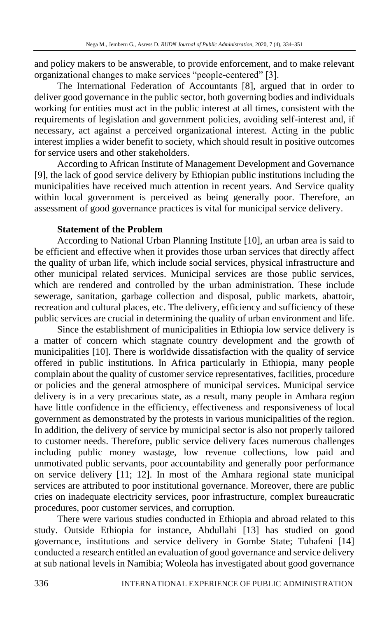and policy makers to be answerable, to provide enforcement, and to make relevant organizational changes to make services "people-centered" [3].

The International Federation of Accountants [8], argued that in order to deliver good governance in the public sector, both governing bodies and individuals working for entities must act in the public interest at all times, consistent with the requirements of legislation and government policies, avoiding self-interest and, if necessary, act against a perceived organizational interest. Acting in the public interest implies a wider benefit to society, which should result in positive outcomes for service users and other stakeholders.

According to African Institute of Management Development and Governance [9], the lack of good service delivery by Ethiopian public institutions including the municipalities have received much attention in recent years. And Service quality within local government is perceived as being generally poor. Therefore, an assessment of good governance practices is vital for municipal service delivery.

## **Statement of the Problem**

According to National Urban Planning Institute [10], an urban area is said to be efficient and effective when it provides those urban services that directly affect the quality of urban life, which include social services, physical infrastructure and other municipal related services. Municipal services are those public services, which are rendered and controlled by the urban administration. These include sewerage, sanitation, garbage collection and disposal, public markets, abattoir, recreation and cultural places, etc. The delivery, efficiency and sufficiency of these public services are crucial in determining the quality of urban environment and life.

Since the establishment of municipalities in Ethiopia low service delivery is a matter of concern which stagnate country development and the growth of municipalities [10]. There is worldwide dissatisfaction with the quality of service offered in public institutions. In Africa particularly in Ethiopia, many people complain about the quality of customer service representatives, facilities, procedure or policies and the general atmosphere of municipal services. Municipal service delivery is in a very precarious state, as a result, many people in Amhara region have little confidence in the efficiency, effectiveness and responsiveness of local government as demonstrated by the protests in various municipalities of the region. In addition, the delivery of service by municipal sector is also not properly tailored to customer needs. Therefore, public service delivery faces numerous challenges including public money wastage, low revenue collections, low paid and unmotivated public servants, poor accountability and generally poor performance on service delivery [11; 12]. In most of the Amhara regional state municipal services are attributed to poor institutional governance. Moreover, there are public cries on inadequate electricity services, poor infrastructure, complex bureaucratic procedures, poor customer services, and corruption.

There were various studies conducted in Ethiopia and abroad related to this study. Outside Ethiopia for instance, Abdullahi [13] has studied on good governance, institutions and service delivery in Gombe State; Tuhafeni [14] conducted a research entitled an evaluation of good governance and service delivery at sub national levels in Namibia; Woleola has investigated about good governance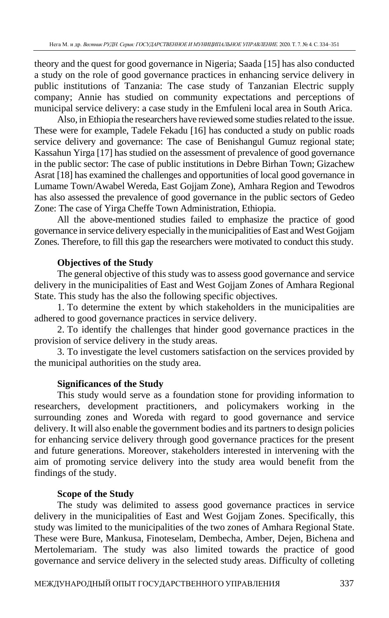theory and the quest for good governance in Nigeria; Saada [15] has also conducted a study on the role of good governance practices in enhancing service delivery in public institutions of Tanzania: The case study of Tanzanian Electric supply company; Annie has studied on community expectations and perceptions of municipal service delivery: a case study in the Emfuleni local area in South Arica.

Also, in Ethiopia the researchers have reviewed some studies related to the issue. These were for example, Tadele Fekadu [16] has conducted a study on public roads service delivery and governance: The case of Benishangul Gumuz regional state; Kassahun Yirga [17] has studied on the assessment of prevalence of good governance in the public sector: The case of public institutions in Debre Birhan Town; Gizachew Asrat [18] has examined the challenges and opportunities of local good governance in Lumame Town/Awabel Wereda, East Gojjam Zone), Amhara Region and Tewodros has also assessed the prevalence of good governance in the public sectors of Gedeo Zone: The case of Yirga Cheffe Town Administration, Ethiopia.

All the above-mentioned studies failed to emphasize the practice of good governance in service delivery especially in the municipalities of East and West Gojjam Zones. Therefore, to fill this gap the researchers were motivated to conduct this study.

## **Objectives of the Study**

The general objective of this study was to assess good governance and service delivery in the municipalities of East and West Gojjam Zones of Amhara Regional State. This study has the also the following specific objectives.

1. To determine the extent by which stakeholders in the municipalities are adhered to good governance practices in service delivery.

2. To identify the challenges that hinder good governance practices in the provision of service delivery in the study areas.

3. To investigate the level customers satisfaction on the services provided by the municipal authorities on the study area.

## **Significances of the Study**

This study would serve as a foundation stone for providing information to researchers, development practitioners, and policymakers working in the surrounding zones and Woreda with regard to good governance and service delivery. It will also enable the government bodies and its partners to design policies for enhancing service delivery through good governance practices for the present and future generations. Moreover, stakeholders interested in intervening with the aim of promoting service delivery into the study area would benefit from the findings of the study.

## **Scope of the Study**

The study was delimited to assess good governance practices in service delivery in the municipalities of East and West Gojjam Zones. Specifically, this study was limited to the municipalities of the two zones of Amhara Regional State. These were Bure, Mankusa, Finoteselam, Dembecha, Amber, Dejen, Bichena and Mertolemariam. The study was also limited towards the practice of good governance and service delivery in the selected study areas. Difficulty of colleting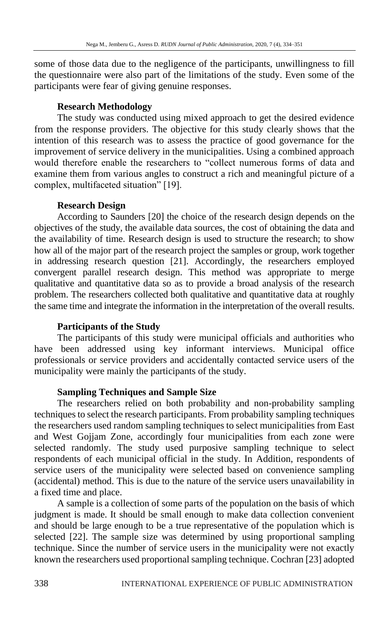some of those data due to the negligence of the participants, unwillingness to fill the questionnaire were also part of the limitations of the study. Even some of the participants were fear of giving genuine responses.

### **Research Methodology**

The study was conducted using mixed approach to get the desired evidence from the response providers. The objective for this study clearly shows that the intention of this research was to assess the practice of good governance for the improvement of service delivery in the municipalities. Using a combined approach would therefore enable the researchers to "collect numerous forms of data and examine them from various angles to construct a rich and meaningful picture of a complex, multifaceted situation" [19].

## **Research Design**

According to Saunders [20] the choice of the research design depends on the objectives of the study, the available data sources, the cost of obtaining the data and the availability of time. Research design is used to structure the research; to show how all of the major part of the research project the samples or group, work together in addressing research question [21]. Accordingly, the researchers employed convergent parallel research design. This method was appropriate to merge qualitative and quantitative data so as to provide a broad analysis of the research problem. The researchers collected both qualitative and quantitative data at roughly the same time and integrate the information in the interpretation of the overall results.

## **Participants of the Study**

The participants of this study were municipal officials and authorities who have been addressed using key informant interviews. Municipal office professionals or service providers and accidentally contacted service users of the municipality were mainly the participants of the study.

## **Sampling Techniques and Sample Size**

The researchers relied on both probability and non-probability sampling techniques to select the research participants. From probability sampling techniques the researchers used random sampling techniques to select municipalities from East and West Gojjam Zone, accordingly four municipalities from each zone were selected randomly. The study used purposive sampling technique to select respondents of each municipal official in the study. In Addition, respondents of service users of the municipality were selected based on convenience sampling (accidental) method. This is due to the nature of the service users unavailability in a fixed time and place.

A sample is a collection of some parts of the population on the basis of which judgment is made. It should be small enough to make data collection convenient and should be large enough to be a true representative of the population which is selected [22]. The sample size was determined by using proportional sampling technique. Since the number of service users in the municipality were not exactly known the researchers used proportional sampling technique. Cochran [23] adopted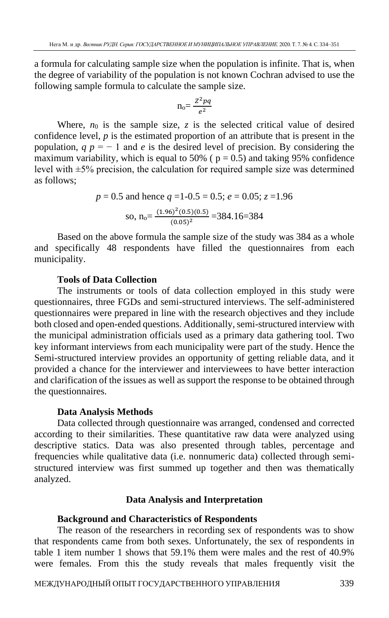a formula for calculating sample size when the population is infinite. That is, when the degree of variability of the population is not known Cochran advised to use the following sample formula to calculate the sample size.

$$
n_o = \frac{Z^2pq}{e^2}
$$

Where,  $n_0$  is the sample size,  $z$  is the selected critical value of desired confidence level, *p* is the estimated proportion of an attribute that is present in the population,  $q p = -1$  and *e* is the desired level of precision. By considering the maximum variability, which is equal to 50% ( $p = 0.5$ ) and taking 95% confidence level with  $\pm$ 5% precision, the calculation for required sample size was determined as follows;

$$
p = 0.5
$$
 and hence  $q = 1 - 0.5 = 0.5$ ;  $e = 0.05$ ;  $z = 1.96$   
so,  $n_0 = \frac{(1.96)^2 (0.5)(0.5)}{(0.05)^2} = 384.16 = 384$ 

Based on the above formula the sample size of the study was 384 as a whole and specifically 48 respondents have filled the questionnaires from each municipality.

### **Tools of Data Collection**

The instruments or tools of data collection employed in this study were questionnaires, three FGDs and semi-structured interviews. The self-administered questionnaires were prepared in line with the research objectives and they include both closed and open-ended questions. Additionally, semi-structured interview with the municipal administration officials used as a primary data gathering tool. Two key informant interviews from each municipality were part of the study. Hence the Semi-structured interview provides an opportunity of getting reliable data, and it provided a chance for the interviewer and interviewees to have better interaction and clarification of the issues as well as support the response to be obtained through the questionnaires.

#### **Data Analysis Methods**

Data collected through questionnaire was arranged, condensed and corrected according to their similarities. These quantitative raw data were analyzed using descriptive statics. Data was also presented through tables, percentage and frequencies while qualitative data (i.e. nonnumeric data) collected through semistructured interview was first summed up together and then was thematically analyzed.

### **Data Analysis and Interpretation**

### **Background and Characteristics of Respondents**

The reason of the researchers in recording sex of respondents was to show that respondents came from both sexes. Unfortunately, the sex of respondents in table 1 item number 1 shows that 59.1% them were males and the rest of 40.9% were females. From this the study reveals that males frequently visit the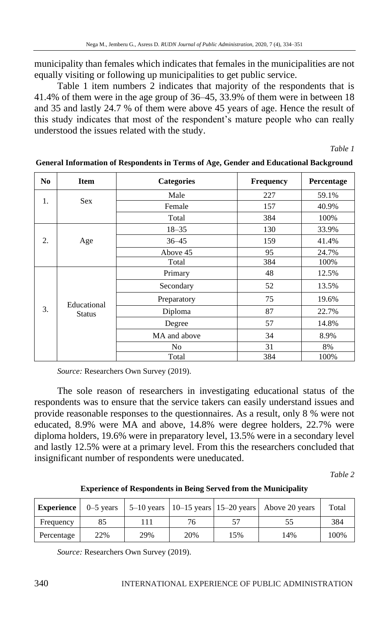municipality than females which indicates that females in the municipalities are not equally visiting or following up municipalities to get public service.

Table 1 item numbers 2 indicates that majority of the respondents that is 41.4% of them were in the age group of 36–45, 33.9% of them were in between 18 and 35 and lastly 24.7 % of them were above 45 years of age. Hence the result of this study indicates that most of the respondent's mature people who can really understood the issues related with the study.

*Table 1*

| N <sub>0</sub> | <b>Item</b>   | <b>Categories</b> | Frequency | Percentage |
|----------------|---------------|-------------------|-----------|------------|
|                |               | Male              | 227       | 59.1%      |
| 1.             | <b>Sex</b>    | Female            | 157       | 40.9%      |
|                |               | Total             | 384       | 100%       |
|                |               | $18 - 35$         | 130       | 33.9%      |
| 2.             | Age           | $36 - 45$         | 159       | 41.4%      |
|                |               | Above 45          | 95        | 24.7%      |
|                |               | Total             | 384       | 100%       |
|                |               | Primary           | 48        | 12.5%      |
|                |               | Secondary         | 52        | 13.5%      |
|                | Educational   | Preparatory       | 75        | 19.6%      |
| 3.             | <b>Status</b> | Diploma           | 87        | 22.7%      |
|                |               | Degree            | 57        | 14.8%      |
|                |               | MA and above      | 34        | 8.9%       |
|                |               | N <sub>0</sub>    | 31        | 8%         |
|                |               | Total             | 384       | 100%       |

**General Information of Respondents in Terms of Age, Gender and Educational Background**

*Source:* Researchers Own Survey (2019).

The sole reason of researchers in investigating educational status of the respondents was to ensure that the service takers can easily understand issues and provide reasonable responses to the questionnaires. As a result, only 8 % were not educated, 8.9% were MA and above, 14.8% were degree holders, 22.7% were diploma holders, 19.6% were in preparatory level, 13.5% were in a secondary level and lastly 12.5% were at a primary level. From this the researchers concluded that insignificant number of respondents were uneducated.

*Table 2* 

**Experience of Respondents in Being Served from the Municipality**

| Experience |     |     |     |     | 0–5 years $\vert$ 5–10 years $\vert$ 10–15 years $\vert$ 15–20 years $\vert$ Above 20 years | Total |
|------------|-----|-----|-----|-----|---------------------------------------------------------------------------------------------|-------|
| Frequency  | 85  |     | 76  |     |                                                                                             | 384   |
| Percentage | 22% | 29% | 20% | 15% | 14%                                                                                         | 100%  |

*Source:* Researchers Own Survey (2019).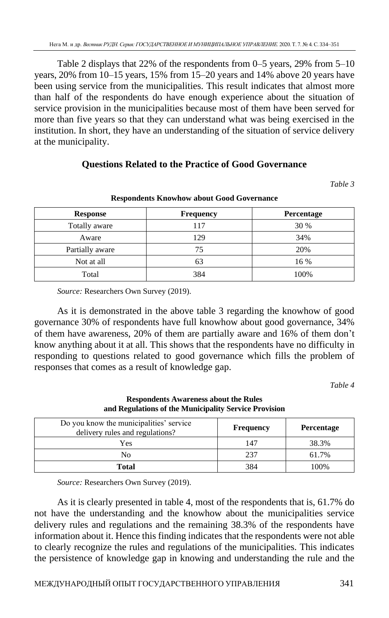Table 2 displays that 22% of the respondents from 0–5 years, 29% from 5–10 years, 20% from 10–15 years, 15% from 15–20 years and 14% above 20 years have been using service from the municipalities. This result indicates that almost more than half of the respondents do have enough experience about the situation of service provision in the municipalities because most of them have been served for more than five years so that they can understand what was being exercised in the institution. In short, they have an understanding of the situation of service delivery at the municipality.

## **Questions Related to the Practice of Good Governance**

*Table 3* 

| <b>Response</b> | <b>Frequency</b> | Percentage |
|-----------------|------------------|------------|
| Totally aware   | 117              | 30 %       |
| Aware           | 129              | 34%        |
| Partially aware | 75               | 20%        |
| Not at all      | 63               | 16 %       |
| Total           | 384              | 100%       |

#### **Respondents Knowhow about Good Governance**

*Source:* Researchers Own Survey (2019).

As it is demonstrated in the above table 3 regarding the knowhow of good governance 30% of respondents have full knowhow about good governance, 34% of them have awareness, 20% of them are partially aware and 16% of them don't know anything about it at all. This shows that the respondents have no difficulty in responding to questions related to good governance which fills the problem of responses that comes as a result of knowledge gap.

*Table 4* 

| Do you know the municipalities' service<br>delivery rules and regulations? | Frequency | <b>Percentage</b> |
|----------------------------------------------------------------------------|-----------|-------------------|
| Yes                                                                        | 147       | 38.3%             |
| No                                                                         | 237       | 61.7%             |
| Total                                                                      | 384       | 100%              |

#### **Respondents Awareness about the Rules and Regulations of the Municipality Service Provision**

*Source:* Researchers Own Survey (2019).

As it is clearly presented in table 4, most of the respondents that is, 61.7% do not have the understanding and the knowhow about the municipalities service delivery rules and regulations and the remaining 38.3% of the respondents have information about it. Hence this finding indicates that the respondents were not able to clearly recognize the rules and regulations of the municipalities. This indicates the persistence of knowledge gap in knowing and understanding the rule and the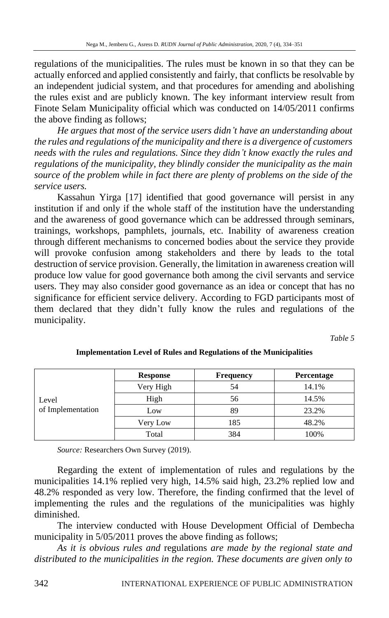regulations of the municipalities. The rules must be known in so that they can be actually enforced and applied consistently and fairly, that conflicts be resolvable by an independent judicial system, and that procedures for amending and abolishing the rules exist and are publicly known. The key informant interview result from Finote Selam Municipality official which was conducted on 14/05/2011 confirms the above finding as follows;

*He argues that most of the service users didn't have an understanding about the rules and regulations of the municipality and there is a divergence of customers needs with the rules and regulations. Since they didn't know exactly the rules and regulations of the municipality, they blindly consider the municipality as the main source of the problem while in fact there are plenty of problems on the side of the service users.* 

Kassahun Yirga [17] identified that good governance will persist in any institution if and only if the whole staff of the institution have the understanding and the awareness of good governance which can be addressed through seminars, trainings, workshops, pamphlets, journals, etc. Inability of awareness creation through different mechanisms to concerned bodies about the service they provide will provoke confusion among stakeholders and there by leads to the total destruction of service provision. Generally, the limitation in awareness creation will produce low value for good governance both among the civil servants and service users. They may also consider good governance as an idea or concept that has no significance for efficient service delivery. According to FGD participants most of them declared that they didn't fully know the rules and regulations of the municipality.

*Table 5* 

|                   | <b>Response</b> | <b>Frequency</b> | Percentage |
|-------------------|-----------------|------------------|------------|
|                   | Very High       | 54               | 14.1%      |
| Level             | High            | 56               | 14.5%      |
| of Implementation | Low             | 89               | 23.2%      |
|                   | Very Low        | 185              | 48.2%      |
|                   | Total           | 384              | 100%       |

**Implementation Level of Rules and Regulations of the Municipalities**

*Source:* Researchers Own Survey (2019).

Regarding the extent of implementation of rules and regulations by the municipalities 14.1% replied very high, 14.5% said high, 23.2% replied low and 48.2% responded as very low. Therefore, the finding confirmed that the level of implementing the rules and the regulations of the municipalities was highly diminished.

The interview conducted with House Development Official of Dembecha municipality in  $5/05/2011$  proves the above finding as follows;

*As it is obvious rules and* regulations *are made by the regional state and distributed to the municipalities in the region. These documents are given only to*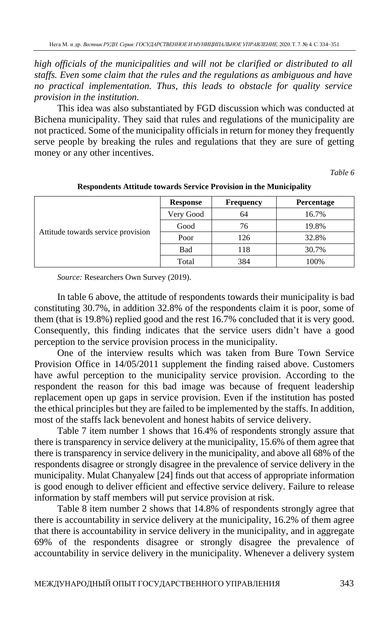*high officials of the municipalities and will not be clarified or distributed to all staffs. Even some claim that the rules and the regulations as ambiguous and have no practical implementation. Thus, this leads to obstacle for quality service provision in the institution.*

This idea was also substantiated by FGD discussion which was conducted at Bichena municipality. They said that rules and regulations of the municipality are not practiced. Some of the municipality officials in return for money they frequently serve people by breaking the rules and regulations that they are sure of getting money or any other incentives.

*Table 6* 

|                                    | Response  | <b>Frequency</b> | <b>Percentage</b> |
|------------------------------------|-----------|------------------|-------------------|
|                                    | Very Good | 64               | 16.7%             |
|                                    | Good      | 76               | 19.8%             |
| Attitude towards service provision | Poor      | 126              | 32.8%             |
|                                    | Bad       | 118              | 30.7%             |
|                                    | Total     | 384              | 100%              |

#### **Respondents Attitude towards Service Provision in the Municipality**

*Source:* Researchers Own Survey (2019).

In table 6 above, the attitude of respondents towards their municipality is bad constituting 30.7%, in addition 32.8% of the respondents claim it is poor, some of them (that is 19.8%) replied good and the rest 16.7% concluded that it is very good. Consequently, this finding indicates that the service users didn't have a good perception to the service provision process in the municipality.

One of the interview results which was taken from Bure Town Service Provision Office in 14/05/2011 supplement the finding raised above. Customers have awful perception to the municipality service provision. According to the respondent the reason for this bad image was because of frequent leadership replacement open up gaps in service provision. Even if the institution has posted the ethical principles but they are failed to be implemented by the staffs. In addition, most of the staffs lack benevolent and honest habits of service delivery.

Table 7 item number 1 shows that 16.4% of respondents strongly assure that there is transparency in service delivery at the municipality, 15.6% of them agree that there is transparency in service delivery in the municipality, and above all 68% of the respondents disagree or strongly disagree in the prevalence of service delivery in the municipality. Mulat Chanyalew [24] finds out that access of appropriate information is good enough to deliver efficient and effective service delivery. Failure to release information by staff members will put service provision at risk.

Table 8 item number 2 shows that 14.8% of respondents strongly agree that there is accountability in service delivery at the municipality, 16.2% of them agree that there is accountability in service delivery in the municipality, and in aggregate 69% of the respondents disagree or strongly disagree the prevalence of accountability in service delivery in the municipality. Whenever a delivery system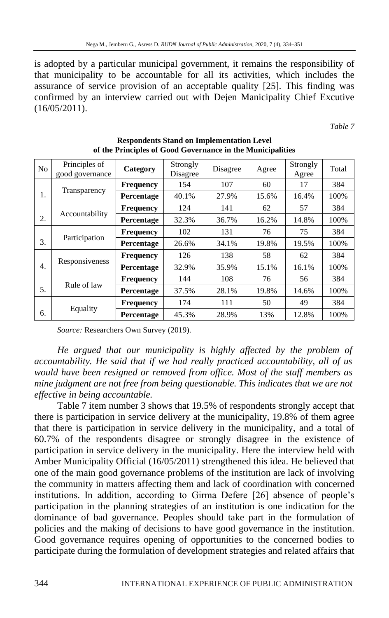is adopted by a particular municipal government, it remains the responsibility of that municipality to be accountable for all its activities, which includes the assurance of service provision of an acceptable quality [25]. This finding was confirmed by an interview carried out with Dejen Manicipality Chief Excutive (16/05/2011).

*Table 7* 

| N <sub>o</sub> | Principles of<br>good governance | Category         | Strongly<br>Disagree | Disagree | Agree | Strongly<br>Agree | Total |
|----------------|----------------------------------|------------------|----------------------|----------|-------|-------------------|-------|
|                |                                  | <b>Frequency</b> | 154                  | 107      | 60    | 17                | 384   |
| 1.             | Transparency                     | Percentage       | 40.1%                | 27.9%    | 15.6% | 16.4%             | 100%  |
|                |                                  | <b>Frequency</b> | 124                  | 141      | 62    | 57                | 384   |
| 2.             | Accountability                   | Percentage       | 32.3%                | 36.7%    | 16.2% | 14.8%             | 100%  |
|                |                                  | <b>Frequency</b> | 102                  | 131      | 76    | 75                | 384   |
| 3.             | Participation                    | Percentage       | 26.6%                | 34.1%    | 19.8% | 19.5%             | 100%  |
|                |                                  | <b>Frequency</b> | 126                  | 138      | 58    | 62                | 384   |
| 4.             | Responsiveness                   | Percentage       | 32.9%                | 35.9%    | 15.1% | 16.1%             | 100%  |
|                |                                  | <b>Frequency</b> | 144                  | 108      | 76    | 56                | 384   |
| 5.             | Rule of law                      | Percentage       | 37.5%                | 28.1%    | 19.8% | 14.6%             | 100%  |
|                | Equality<br>6.                   | <b>Frequency</b> | 174                  | 111      | 50    | 49                | 384   |
|                |                                  | Percentage       | 45.3%                | 28.9%    | 13%   | 12.8%             | 100%  |

**Respondents Stand on Implementation Level of the Principles of Good Governance in the Municipalities**

*Source:* Researchers Own Survey (2019).

*He argued that our municipality is highly affected by the problem of accountability. He said that if we had really practiced accountability, all of us would have been resigned or removed from office. Most of the staff members as mine judgment are not free from being questionable. This indicates that we are not effective in being accountable.*

Table 7 item number 3 shows that 19.5% of respondents strongly accept that there is participation in service delivery at the municipality, 19.8% of them agree that there is participation in service delivery in the municipality, and a total of 60.7% of the respondents disagree or strongly disagree in the existence of participation in service delivery in the municipality. Here the interview held with Amber Municipality Official (16/05/2011) strengthened this idea. He believed that one of the main good governance problems of the institution are lack of involving the community in matters affecting them and lack of coordination with concerned institutions. In addition, according to Girma Defere [26] absence of people's participation in the planning strategies of an institution is one indication for the dominance of bad governance. Peoples should take part in the formulation of policies and the making of decisions to have good governance in the institution. Good governance requires opening of opportunities to the concerned bodies to participate during the formulation of development strategies and related affairs that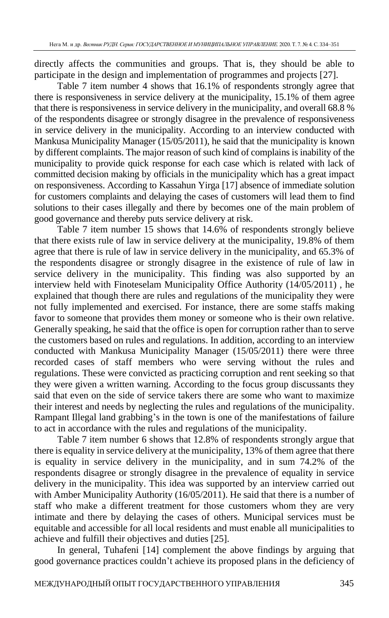directly affects the communities and groups. That is, they should be able to participate in the design and implementation of programmes and projects [27].

Table 7 item number 4 shows that 16.1% of respondents strongly agree that there is responsiveness in service delivery at the municipality, 15.1% of them agree that there is responsiveness in service delivery in the municipality, and overall 68.8 % of the respondents disagree or strongly disagree in the prevalence of responsiveness in service delivery in the municipality. According to an interview conducted with Mankusa Municipality Manager (15/05/2011), he said that the municipality is known by different complaints. The major reason of such kind of complains is inability of the municipality to provide quick response for each case which is related with lack of committed decision making by officials in the municipality which has a great impact on responsiveness. According to Kassahun Yirga [17] absence of immediate solution for customers complaints and delaying the cases of customers will lead them to find solutions to their cases illegally and there by becomes one of the main problem of good governance and thereby puts service delivery at risk.

Table 7 item number 15 shows that 14.6% of respondents strongly believe that there exists rule of law in service delivery at the municipality, 19.8% of them agree that there is rule of law in service delivery in the municipality, and 65.3% of the respondents disagree or strongly disagree in the existence of rule of law in service delivery in the municipality. This finding was also supported by an interview held with Finoteselam Municipality Office Authority (14/05/2011) , he explained that though there are rules and regulations of the municipality they were not fully implemented and exercised. For instance, there are some staffs making favor to someone that provides them money or someone who is their own relative. Generally speaking, he said that the office is open for corruption rather than to serve the customers based on rules and regulations. In addition, according to an interview conducted with Mankusa Municipality Manager (15/05/2011) there were three recorded cases of staff members who were serving without the rules and regulations. These were convicted as practicing corruption and rent seeking so that they were given a written warning. According to the focus group discussants they said that even on the side of service takers there are some who want to maximize their interest and needs by neglecting the rules and regulations of the municipality. Rampant Illegal land grabbing's in the town is one of the manifestations of failure to act in accordance with the rules and regulations of the municipality.

Table 7 item number 6 shows that 12.8% of respondents strongly argue that there is equality in service delivery at the municipality, 13% of them agree that there is equality in service delivery in the municipality, and in sum 74.2% of the respondents disagree or strongly disagree in the prevalence of equality in service delivery in the municipality. This idea was supported by an interview carried out with Amber Municipality Authority (16/05/2011). He said that there is a number of staff who make a different treatment for those customers whom they are very intimate and there by delaying the cases of others. Municipal services must be equitable and accessible for all local residents and must enable all municipalities to achieve and fulfill their objectives and duties [25].

In general, Tuhafeni [14] complement the above findings by arguing that good governance practices couldn't achieve its proposed plans in the deficiency of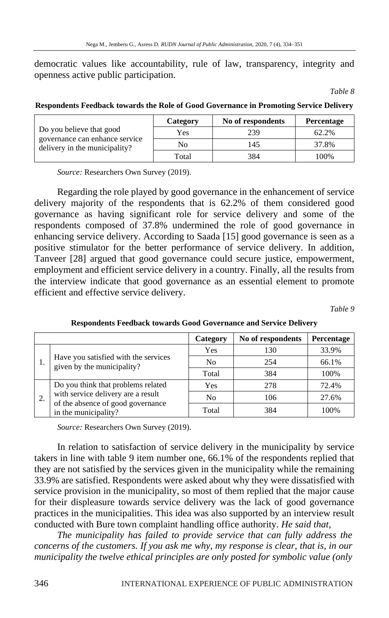democratic values like accountability, rule of law, transparency, integrity and openness active public participation.

*Table 8* 

|  | Respondents Feedback towards the Role of Good Governance in Promoting Service Delivery |
|--|----------------------------------------------------------------------------------------|
|  |                                                                                        |

|                                                                 | Category | No of respondents | <b>Percentage</b> |
|-----------------------------------------------------------------|----------|-------------------|-------------------|
| Do you believe that good                                        | Yes      | 239               | 62.2%             |
| governance can enhance service<br>delivery in the municipality? | No       | 145               | 37.8%             |
|                                                                 | Total    | 384               | 100%              |

*Source:* Researchers Own Survey (2019).

Regarding the role played by good governance in the enhancement of service delivery majority of the respondents that is 62.2% of them considered good governance as having significant role for service delivery and some of the respondents composed of 37.8% undermined the role of good governance in enhancing service delivery. According to Saada [15] good governance is seen as a positive stimulator for the better performance of service delivery. In addition, Tanveer [28] argued that good governance could secure justice, empowerment, employment and efficient service delivery in a country. Finally, all the results from the interview indicate that good governance as an essential element to promote efficient and effective service delivery.

*Table 9* 

|                                                                    | Category | No of respondents | Percentage |
|--------------------------------------------------------------------|----------|-------------------|------------|
| Have you satisfied with the services<br>given by the municipality? | Yes      | 130               | 33.9%      |
|                                                                    | No       | 254               | 66.1%      |
|                                                                    | Total    | 384               | 100%       |
| Do you think that problems related                                 | Yes      | 278               | 72.4%      |
| with service delivery are a result                                 | No       | 106               | 27.6%      |
| of the absence of good governance<br>in the municipality?          | Total    | 384               | 100%       |

**Respondents Feedback towards Good Governance and Service Delivery**

*Source:* Researchers Own Survey (2019).

In relation to satisfaction of service delivery in the municipality by service takers in line with table 9 item number one, 66.1% of the respondents replied that they are not satisfied by the services given in the municipality while the remaining 33.9% are satisfied. Respondents were asked about why they were dissatisfied with service provision in the municipality, so most of them replied that the major cause for their displeasure towards service delivery was the lack of good governance practices in the municipalities. This idea was also supported by an interview result conducted with Bure town complaint handling office authority. *He said that,*

*The municipality has failed to provide service that can fully address the concerns of the customers. If you ask me why, my response is clear, that is, in our municipality the twelve ethical principles are only posted for symbolic value (only*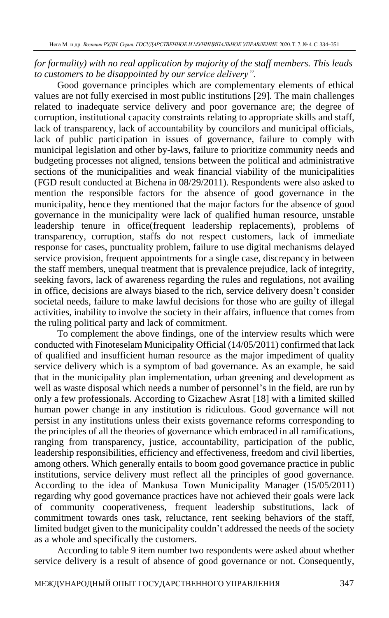## *for formality) with no real application by majority of the staff members. This leads to customers to be disappointed by our service delivery".*

Good governance principles which are complementary elements of ethical values are not fully exercised in most public institutions [29]. The main challenges related to inadequate service delivery and poor governance are; the degree of corruption, institutional capacity constraints relating to appropriate skills and staff, lack of transparency, lack of accountability by councilors and municipal officials, lack of public participation in issues of governance, failure to comply with municipal legislation and other by-laws, failure to prioritize community needs and budgeting processes not aligned, tensions between the political and administrative sections of the municipalities and weak financial viability of the municipalities (FGD result conducted at Bichena in 08/29/2011). Respondents were also asked to mention the responsible factors for the absence of good governance in the municipality, hence they mentioned that the major factors for the absence of good governance in the municipality were lack of qualified human resource, unstable leadership tenure in office(frequent leadership replacements), problems of transparency, corruption, staffs do not respect customers, lack of immediate response for cases, punctuality problem, failure to use digital mechanisms delayed service provision, frequent appointments for a single case, discrepancy in between the staff members, unequal treatment that is prevalence prejudice, lack of integrity, seeking favors, lack of awareness regarding the rules and regulations, not availing in office, decisions are always biased to the rich, service delivery doesn't consider societal needs, failure to make lawful decisions for those who are guilty of illegal activities, inability to involve the society in their affairs, influence that comes from the ruling political party and lack of commitment.

To complement the above findings, one of the interview results which were conducted with Finoteselam Municipality Official (14/05/2011) confirmed that lack of qualified and insufficient human resource as the major impediment of quality service delivery which is a symptom of bad governance. As an example, he said that in the municipality plan implementation, urban greening and development as well as waste disposal which needs a number of personnel's in the field, are run by only a few professionals. According to Gizachew Asrat [18] with a limited skilled human power change in any institution is ridiculous. Good governance will not persist in any institutions unless their exists governance reforms corresponding to the principles of all the theories of governance which embraced in all ramifications, ranging from transparency, justice, accountability, participation of the public, leadership responsibilities, efficiency and effectiveness, freedom and civil liberties, among others. Which generally entails to boom good governance practice in public institutions, service delivery must reflect all the principles of good governance. According to the idea of Mankusa Town Municipality Manager (15/05/2011) regarding why good governance practices have not achieved their goals were lack of community cooperativeness, frequent leadership substitutions, lack of commitment towards ones task, reluctance, rent seeking behaviors of the staff, limited budget given to the municipality couldn't addressed the needs of the society as a whole and specifically the customers.

According to table 9 item number two respondents were asked about whether service delivery is a result of absence of good governance or not. Consequently,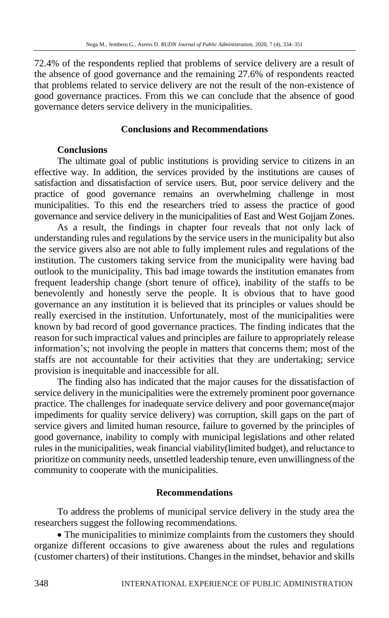72.4% of the respondents replied that problems of service delivery are a result of the absence of good governance and the remaining 27.6% of respondents reacted that problems related to service delivery are not the result of the non-existence of good governance practices. From this we can conclude that the absence of good governance deters service delivery in the municipalities.

## **Conclusions and Recommendations**

## **Conclusions**

The ultimate goal of public institutions is providing service to citizens in an effective way. In addition, the services provided by the institutions are causes of satisfaction and dissatisfaction of service users. But, poor service delivery and the practice of good governance remains an overwhelming challenge in most municipalities. To this end the researchers tried to assess the practice of good governance and service delivery in the municipalities of East and West Gojjam Zones.

As a result, the findings in chapter four reveals that not only lack of understanding rules and regulations by the service users in the municipality but also the service givers also are not able to fully implement rules and regulations of the institution. The customers taking service from the municipality were having bad outlook to the municipality. This bad image towards the institution emanates from frequent leadership change (short tenure of office), inability of the staffs to be benevolently and honestly serve the people. It is obvious that to have good governance an any institution it is believed that its principles or values should be really exercised in the institution. Unfortunately, most of the municipalities were known by bad record of good governance practices. The finding indicates that the reason for such impractical values and principles are failure to appropriately release information's; not involving the people in matters that concerns them; most of the staffs are not accountable for their activities that they are undertaking; service provision is inequitable and inaccessible for all.

The finding also has indicated that the major causes for the dissatisfaction of service delivery in the municipalities were the extremely prominent poor governance practice. The challenges for inadequate service delivery and poor governance(major impediments for quality service delivery) was corruption, skill gaps on the part of service givers and limited human resource, failure to governed by the principles of good governance, inability to comply with municipal legislations and other related rules in the municipalities, weak financial viability(limited budget), and reluctance to prioritize on community needs, unsettled leadership tenure, even unwillingness of the community to cooperate with the municipalities.

### **Recommendations**

To address the problems of municipal service delivery in the study area the researchers suggest the following recommendations.

• The municipalities to minimize complaints from the customers they should organize different occasions to give awareness about the rules and regulations (customer charters) of their institutions. Changes in the mindset, behavior and skills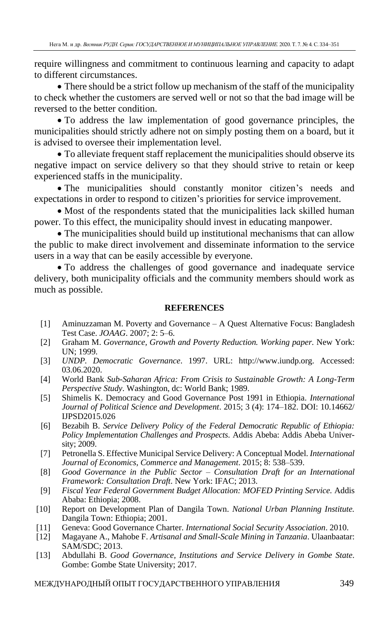require willingness and commitment to continuous learning and capacity to adapt to different circumstances.

• There should be a strict follow up mechanism of the staff of the municipality to check whether the customers are served well or not so that the bad image will be reversed to the better condition.

• To address the law implementation of good governance principles, the municipalities should strictly adhere not on simply posting them on a board, but it is advised to oversee their implementation level.

• To alleviate frequent staff replacement the municipalities should observe its negative impact on service delivery so that they should strive to retain or keep experienced staffs in the municipality.

• The municipalities should constantly monitor citizen's needs and expectations in order to respond to citizen's priorities for service improvement.

• Most of the respondents stated that the municipalities lack skilled human power. To this effect, the municipality should invest in educating manpower.

• The municipalities should build up institutional mechanisms that can allow the public to make direct involvement and disseminate information to the service users in a way that can be easily accessible by everyone.

• To address the challenges of good governance and inadequate service delivery, both municipality officials and the community members should work as much as possible.

### **REFERENCES**

- [1] Aminuzzaman M. Poverty and Governance A Quest Alternative Focus: Bangladesh Test Case. *JOAAG*. 2007; 2: 5–6.
- [2] Graham M. *Governance, Growth and Poverty Reduction. Working paper.* New York: UN; 1999.
- [3] *UNDP. Democratic Governance*. 1997. URL: http://www.iundp.org. Accessed: 03.06.2020.
- [4] World Bank *Sub-Saharan Africa: From Crisis to Sustainable Growth: A Long-Term Perspective Study*. Washington, dc: World Bank; 1989.
- [5] Shimelis K. Democracy and Good Governance Post 1991 in Ethiopia. *International Journal of Political Science and Development*. 2015; 3 (4): 174–182. DOI: 10.14662/ IJPSD2015.026
- [6] Bezabih B. *Service Delivery Policy of the Federal Democratic Republic of Ethiopia: Policy Implementation Challenges and Prospects*. Addis Abeba: Addis Abeba University; 2009.
- [7] Petronella S. Effective Municipal Service Delivery: A Conceptual Model. *International Journal of Economics, Commerce and Management*. 2015; 8: 538–539.
- [8] *Good Governance in the Public Sector – Consultation Draft for an International Framework: Consultation Draft*. New York: IFAC; 2013.
- [9] *Fiscal Year Federal Government Budget Allocation: MOFED Printing Service.* Addis Ababa: Ethiopia; 2008.
- [10] Report on Development Plan of Dangila Town. *National Urban Planning Institute.* Dangila Town: Ethiopia; 2001.
- [11] Geneva: Good Governance Charter. *International Social Security Association*. 2010.
- [12] Magayane A., Mahobe F. *Artisanal and Small-Scale Mining in Tanzania*. Ulaanbaatar: SAM/SDC; 2013.
- [13] Abdullahi B. *Good Governance, Institutions and Service Delivery in Gombe State*. Gombe: Gombe State University; 2017.

МЕЖДУНАРОДНЫЙ ОПЫТ ГОСУДАРСТВЕННОГО УПРАВЛЕНИЯ 349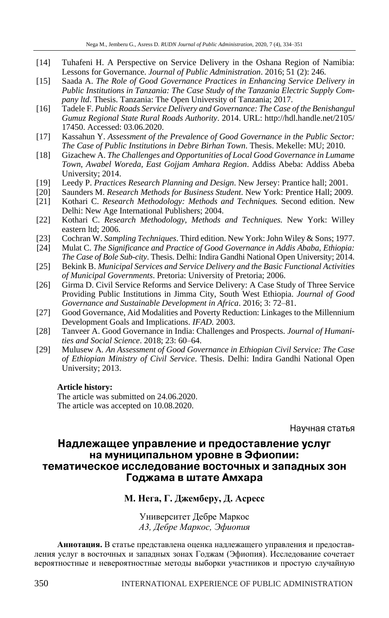- [14] Tuhafeni H. A Perspective on Service Delivery in the Oshana Region of Namibia: Lessons for Governance. *Journal of Public Administration*. 2016; 51 (2): 246.
- [15] Saada A. *The Role of Good Governance Practices in Enhancing Service Delivery in Public Institutions in Tanzania: The Case Study of the Tanzania Electric Supply Company ltd*. Thesis. Tanzania: The Open University of Tanzania; 2017.
- [16] Tadele F. *Public Roads Service Delivery and Governance: The Case of the Benishangul Gumuz Regional State Rural Roads Authority*. 2014. URL: http://hdl.handle.net/2105/ 17450. Accessed: 03.06.2020.
- [17] Kassahun Y. *Assessment of the Prevalence of Good Governance in the Public Sector: The Case of Public Institutions in Debre Birhan Town*. Thesis. Mekelle: MU; 2010.
- [18] Gizachew A. *The Challenges and Opportunities of Local Good Governance in Lumame Town*, *Awabel Woreda, East Gojjam Amhara Region*. Addiss Abeba: Addiss Abeba University; 2014.
- [19] Leedy P. *Practices Research Planning and Design*. New Jersey: Prantice hall; 2001.
- [20] Saunders M. *Research Methods for Business Student*. New York: Prentice Hall; 2009.
- [21] Kothari C. *Research Methodology: Methods and Techniques.* Second edition. New Delhi: New Age International Publishers; 2004.
- [22] Kothari C. *Research Methodology, Methods and Techniques.* New York: Willey eastern ltd; 2006.
- [23] Cochran W. *Sampling Techniques*. Third edition. New York: John Wiley & Sons; 1977.
- [24] Mulat C. *The Significance and Practice of Good Governance in Addis Ababa, Ethiopia: The Case of Bole Sub-city*. Thesis. Delhi: Indira Gandhi National Open University; 2014.
- [25] Bekink B. *Municipal Services and Service Delivery and the Basic Functional Activities of Municipal Governments*. Pretoria: University of Pretoria; 2006.
- [26] Girma D. Civil Service Reforms and Service Delivery: A Case Study of Three Service Providing Public Institutions in Jimma City, South West Ethiopia. *Journal of Good Governance and Sustainable Development in Africa*. 2016; 3: 72–81.
- [27] Good Governance, Aid Modalities and Poverty Reduction: Linkages to the Millennium Development Goals and Implications. *IFAD.* 2003.
- [28] Tanveer A. Good Governance in India: Challenges and Prospects. *Journal of Humanities and Social Science*. 2018; 23: 60–64.
- [29] Mulusew A*. An Assessment of Good Governance in Ethiopian Civil Service: The Case of Ethiopian Ministry of Civil Service*. Thesis. Delhi: Indira Gandhi National Open University; 2013.

#### **Article history:**

The article was submitted on 24.06.2020. The article was accepted on 10.08.2020.

Научная статья

## Надлежащее управление и предоставление услуг на муниципальном уровне в Эфиопии: тематическое исследование восточных и западных зон Годжама в штате Амхара

## **М. Нега, Г. Джемберу, Д. Асресс**

Университет Дебре Маркос *А3, Дебре Маркос, Эфиопия*

**Аннотация.** В статье представлена оценка надлежащего управления и предоставления услуг в восточных и западных зонах Годжам (Эфиопия). Исследование сочетает вероятностные и невероятностные методы выборки участников и простую случайную